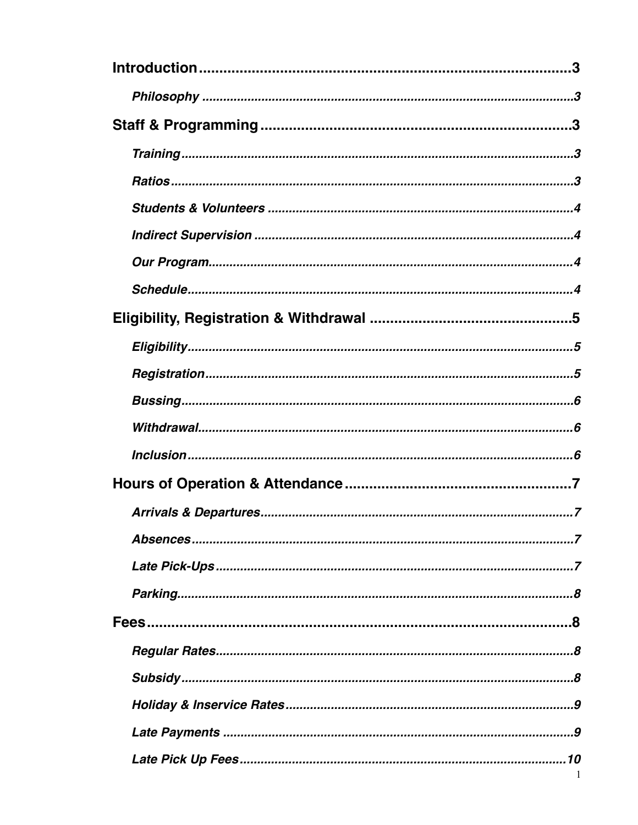| -1 |
|----|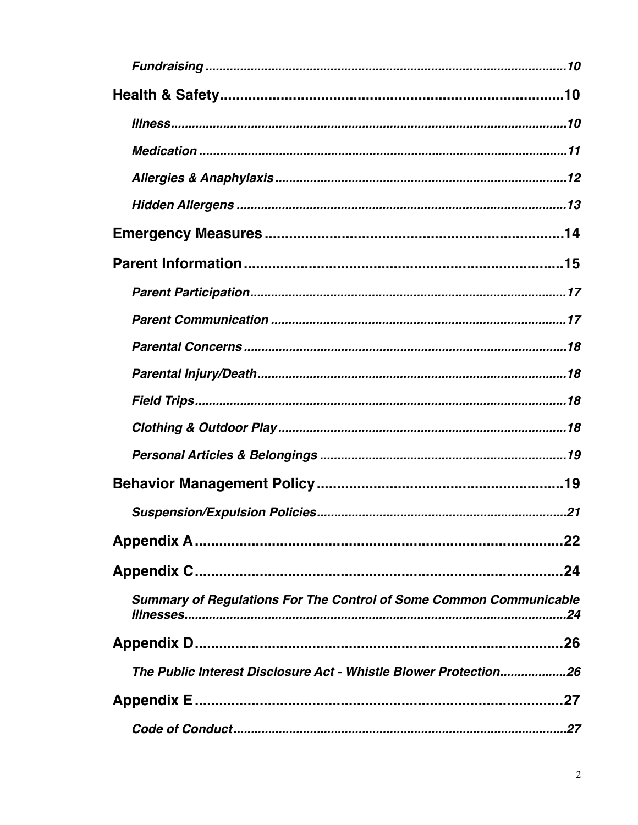| <b>Summary of Regulations For The Control of Some Common Communicable</b> |
|---------------------------------------------------------------------------|
|                                                                           |
| The Public Interest Disclosure Act - Whistle Blower Protection26          |
| 27                                                                        |
|                                                                           |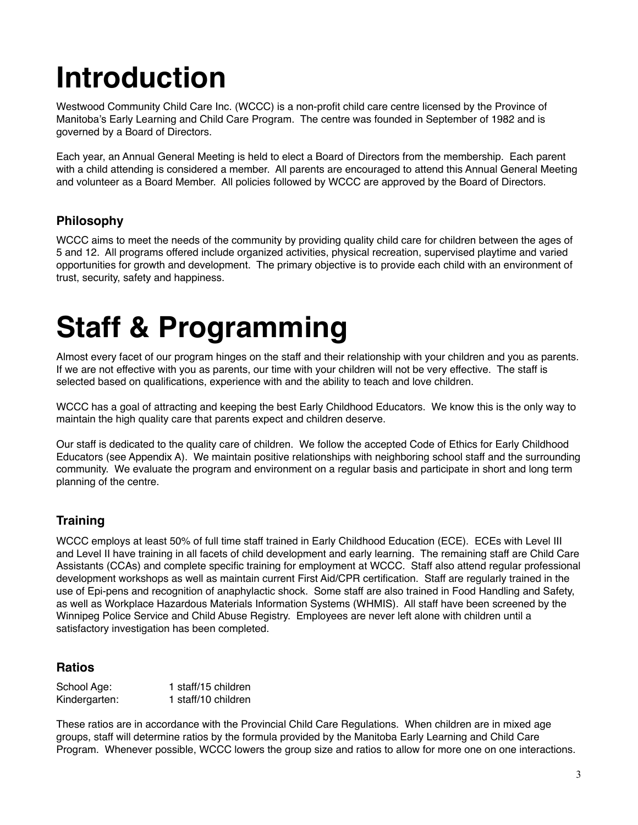# **Introduction**

Westwood Community Child Care Inc. (WCCC) is a non-profit child care centre licensed by the Province of Manitoba's Early Learning and Child Care Program. The centre was founded in September of 1982 and is governed by a Board of Directors.

Each year, an Annual General Meeting is held to elect a Board of Directors from the membership. Each parent with a child attending is considered a member. All parents are encouraged to attend this Annual General Meeting and volunteer as a Board Member. All policies followed by WCCC are approved by the Board of Directors.

#### **Philosophy**

WCCC aims to meet the needs of the community by providing quality child care for children between the ages of 5 and 12. All programs offered include organized activities, physical recreation, supervised playtime and varied opportunities for growth and development. The primary objective is to provide each child with an environment of trust, security, safety and happiness.

## **Staff & Programming**

Almost every facet of our program hinges on the staff and their relationship with your children and you as parents. If we are not effective with you as parents, our time with your children will not be very effective. The staff is selected based on qualifications, experience with and the ability to teach and love children.

WCCC has a goal of attracting and keeping the best Early Childhood Educators. We know this is the only way to maintain the high quality care that parents expect and children deserve.

Our staff is dedicated to the quality care of children. We follow the accepted Code of Ethics for Early Childhood Educators (see Appendix A). We maintain positive relationships with neighboring school staff and the surrounding community. We evaluate the program and environment on a regular basis and participate in short and long term planning of the centre.

#### **Training**

WCCC employs at least 50% of full time staff trained in Early Childhood Education (ECE). ECEs with Level III and Level II have training in all facets of child development and early learning. The remaining staff are Child Care Assistants (CCAs) and complete specific training for employment at WCCC. Staff also attend regular professional development workshops as well as maintain current First Aid/CPR certification. Staff are regularly trained in the use of Epi-pens and recognition of anaphylactic shock. Some staff are also trained in Food Handling and Safety, as well as Workplace Hazardous Materials Information Systems (WHMIS). All staff have been screened by the Winnipeg Police Service and Child Abuse Registry. Employees are never left alone with children until a satisfactory investigation has been completed.

#### **Ratios**

| School Age:   | 1 staff/15 children |
|---------------|---------------------|
| Kindergarten: | 1 staff/10 children |

These ratios are in accordance with the Provincial Child Care Regulations. When children are in mixed age groups, staff will determine ratios by the formula provided by the Manitoba Early Learning and Child Care Program. Whenever possible, WCCC lowers the group size and ratios to allow for more one on one interactions.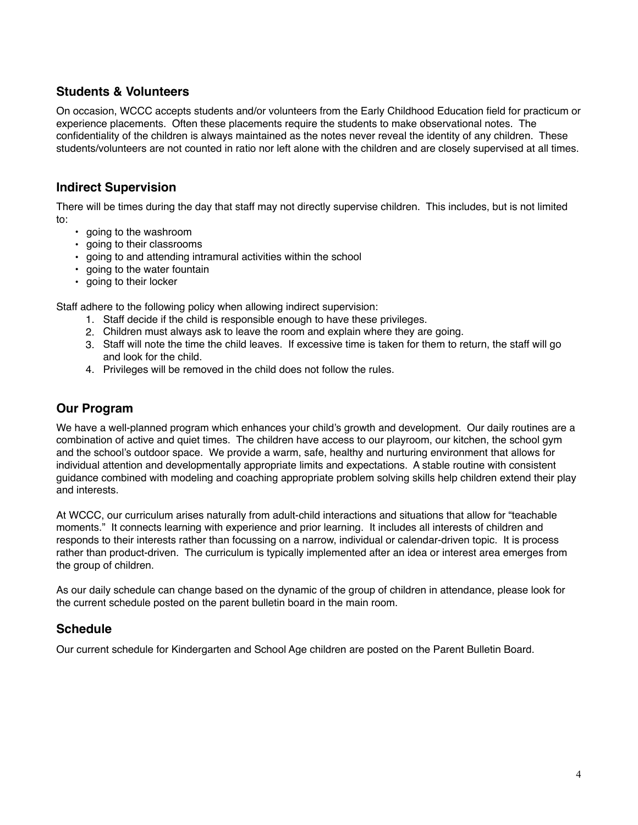#### **Students & Volunteers**

On occasion, WCCC accepts students and/or volunteers from the Early Childhood Education field for practicum or experience placements. Often these placements require the students to make observational notes. The confidentiality of the children is always maintained as the notes never reveal the identity of any children. These students/volunteers are not counted in ratio nor left alone with the children and are closely supervised at all times.

#### **Indirect Supervision**

There will be times during the day that staff may not directly supervise children. This includes, but is not limited to:

- going to the washroom
- going to their classrooms
- going to and attending intramural activities within the school
- going to the water fountain
- going to their locker

Staff adhere to the following policy when allowing indirect supervision:

- 1. Staff decide if the child is responsible enough to have these privileges.
- 2. Children must always ask to leave the room and explain where they are going.
- 3. Staff will note the time the child leaves. If excessive time is taken for them to return, the staff will go and look for the child.
- 4. Privileges will be removed in the child does not follow the rules.

#### **Our Program**

We have a well-planned program which enhances your child's growth and development. Our daily routines are a combination of active and quiet times. The children have access to our playroom, our kitchen, the school gym and the school's outdoor space. We provide a warm, safe, healthy and nurturing environment that allows for individual attention and developmentally appropriate limits and expectations. A stable routine with consistent guidance combined with modeling and coaching appropriate problem solving skills help children extend their play and interests.

At WCCC, our curriculum arises naturally from adult-child interactions and situations that allow for "teachable moments." It connects learning with experience and prior learning. It includes all interests of children and responds to their interests rather than focussing on a narrow, individual or calendar-driven topic. It is process rather than product-driven. The curriculum is typically implemented after an idea or interest area emerges from the group of children.

As our daily schedule can change based on the dynamic of the group of children in attendance, please look for the current schedule posted on the parent bulletin board in the main room.

#### **Schedule**

Our current schedule for Kindergarten and School Age children are posted on the Parent Bulletin Board.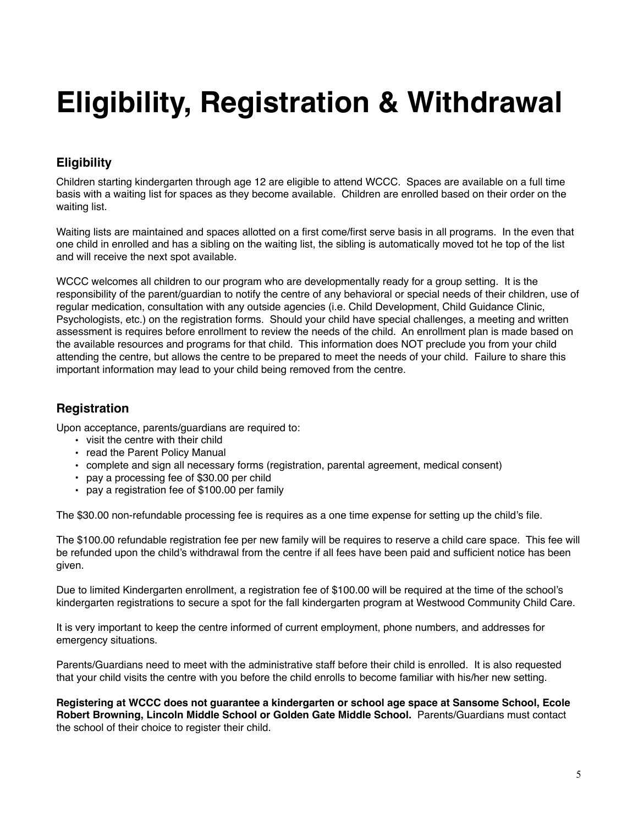# **Eligibility, Registration & Withdrawal**

#### **Eligibility**

Children starting kindergarten through age 12 are eligible to attend WCCC. Spaces are available on a full time basis with a waiting list for spaces as they become available. Children are enrolled based on their order on the waiting list.

Waiting lists are maintained and spaces allotted on a first come/first serve basis in all programs. In the even that one child in enrolled and has a sibling on the waiting list, the sibling is automatically moved tot he top of the list and will receive the next spot available.

WCCC welcomes all children to our program who are developmentally ready for a group setting. It is the responsibility of the parent/guardian to notify the centre of any behavioral or special needs of their children, use of regular medication, consultation with any outside agencies (i.e. Child Development, Child Guidance Clinic, Psychologists, etc.) on the registration forms. Should your child have special challenges, a meeting and written assessment is requires before enrollment to review the needs of the child. An enrollment plan is made based on the available resources and programs for that child. This information does NOT preclude you from your child attending the centre, but allows the centre to be prepared to meet the needs of your child. Failure to share this important information may lead to your child being removed from the centre.

#### **Registration**

Upon acceptance, parents/guardians are required to:

- visit the centre with their child
- read the Parent Policy Manual
- complete and sign all necessary forms (registration, parental agreement, medical consent)
- pay a processing fee of \$30.00 per child
- pay a registration fee of \$100.00 per family

The \$30.00 non-refundable processing fee is requires as a one time expense for setting up the child's file.

The \$100.00 refundable registration fee per new family will be requires to reserve a child care space. This fee will be refunded upon the child's withdrawal from the centre if all fees have been paid and sufficient notice has been given.

Due to limited Kindergarten enrollment, a registration fee of \$100.00 will be required at the time of the school's kindergarten registrations to secure a spot for the fall kindergarten program at Westwood Community Child Care.

It is very important to keep the centre informed of current employment, phone numbers, and addresses for emergency situations.

Parents/Guardians need to meet with the administrative staff before their child is enrolled. It is also requested that your child visits the centre with you before the child enrolls to become familiar with his/her new setting.

**Registering at WCCC does not guarantee a kindergarten or school age space at Sansome School, Ecole Robert Browning, Lincoln Middle School or Golden Gate Middle School.** Parents/Guardians must contact the school of their choice to register their child.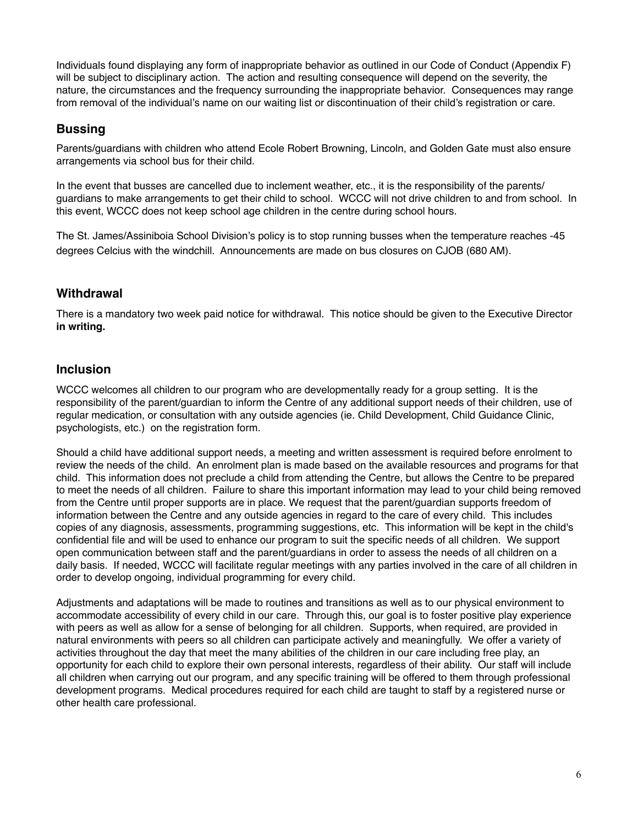Individuals found displaying any form of inappropriate behavior as outlined in our Code of Conduct (Appendix F) will be subject to disciplinary action. The action and resulting consequence will depend on the severity, the nature, the circumstances and the frequency surrounding the inappropriate behavior. Consequences may range from removal of the individual's name on our waiting list or discontinuation of their child's registration or care.

#### **Bussing**

Parents/guardians with children who attend Ecole Robert Browning, Lincoln, and Golden Gate must also ensure arrangements via school bus for their child.

In the event that busses are cancelled due to inclement weather, etc., it is the responsibility of the parents/ guardians to make arrangements to get their child to school. WCCC will not drive children to and from school. In this event, WCCC does not keep school age children in the centre during school hours.

The St. James/Assiniboia School Division's policy is to stop running busses when the temperature reaches -45 degrees Celcius with the windchill. Announcements are made on bus closures on CJOB (680 AM).

#### **Withdrawal**

There is a mandatory two week paid notice for withdrawal. This notice should be given to the Executive Director **in writing.**

#### **Inclusion**

WCCC welcomes all children to our program who are developmentally ready for a group setting. It is the responsibility of the parent/guardian to inform the Centre of any additional support needs of their children, use of regular medication, or consultation with any outside agencies (ie. Child Development, Child Guidance Clinic, psychologists, etc.) on the registration form.

Should a child have additional support needs, a meeting and written assessment is required before enrolment to review the needs of the child. An enrolment plan is made based on the available resources and programs for that child. This information does not preclude a child from attending the Centre, but allows the Centre to be prepared to meet the needs of all children. Failure to share this important information may lead to your child being removed from the Centre until proper supports are in place. We request that the parent/guardian supports freedom of information between the Centre and any outside agencies in regard to the care of every child. This includes copies of any diagnosis, assessments, programming suggestions, etc. This information will be kept in the child's confidential file and will be used to enhance our program to suit the specific needs of all children. We support open communication between staff and the parent/guardians in order to assess the needs of all children on a daily basis. If needed, WCCC will facilitate regular meetings with any parties involved in the care of all children in order to develop ongoing, individual programming for every child.

Adjustments and adaptations will be made to routines and transitions as well as to our physical environment to accommodate accessibility of every child in our care. Through this, our goal is to foster positive play experience with peers as well as allow for a sense of belonging for all children. Supports, when required, are provided in natural environments with peers so all children can participate actively and meaningfully. We offer a variety of activities throughout the day that meet the many abilities of the children in our care including free play, an opportunity for each child to explore their own personal interests, regardless of their ability. Our staff will include all children when carrying out our program, and any specific training will be offered to them through professional development programs. Medical procedures required for each child are taught to staff by a registered nurse or other health care professional.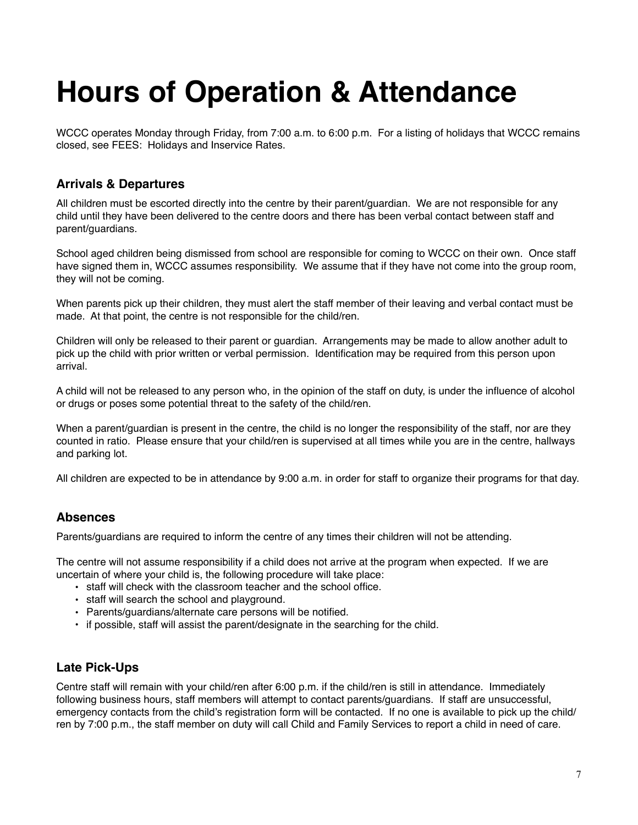## **Hours of Operation & Attendance**

WCCC operates Monday through Friday, from 7:00 a.m. to 6:00 p.m. For a listing of holidays that WCCC remains closed, see FEES: Holidays and Inservice Rates.

#### **Arrivals & Departures**

All children must be escorted directly into the centre by their parent/guardian. We are not responsible for any child until they have been delivered to the centre doors and there has been verbal contact between staff and parent/guardians.

School aged children being dismissed from school are responsible for coming to WCCC on their own. Once staff have signed them in, WCCC assumes responsibility. We assume that if they have not come into the group room, they will not be coming.

When parents pick up their children, they must alert the staff member of their leaving and verbal contact must be made. At that point, the centre is not responsible for the child/ren.

Children will only be released to their parent or guardian. Arrangements may be made to allow another adult to pick up the child with prior written or verbal permission. Identification may be required from this person upon arrival.

A child will not be released to any person who, in the opinion of the staff on duty, is under the influence of alcohol or drugs or poses some potential threat to the safety of the child/ren.

When a parent/quardian is present in the centre, the child is no longer the responsibility of the staff, nor are they counted in ratio. Please ensure that your child/ren is supervised at all times while you are in the centre, hallways and parking lot.

All children are expected to be in attendance by 9:00 a.m. in order for staff to organize their programs for that day.

#### **Absences**

Parents/guardians are required to inform the centre of any times their children will not be attending.

The centre will not assume responsibility if a child does not arrive at the program when expected. If we are uncertain of where your child is, the following procedure will take place:

- staff will check with the classroom teacher and the school office.
- staff will search the school and playground.
- Parents/guardians/alternate care persons will be notified.
- if possible, staff will assist the parent/designate in the searching for the child.

#### **Late Pick-Ups**

Centre staff will remain with your child/ren after 6:00 p.m. if the child/ren is still in attendance. Immediately following business hours, staff members will attempt to contact parents/guardians. If staff are unsuccessful, emergency contacts from the child's registration form will be contacted. If no one is available to pick up the child/ ren by 7:00 p.m., the staff member on duty will call Child and Family Services to report a child in need of care.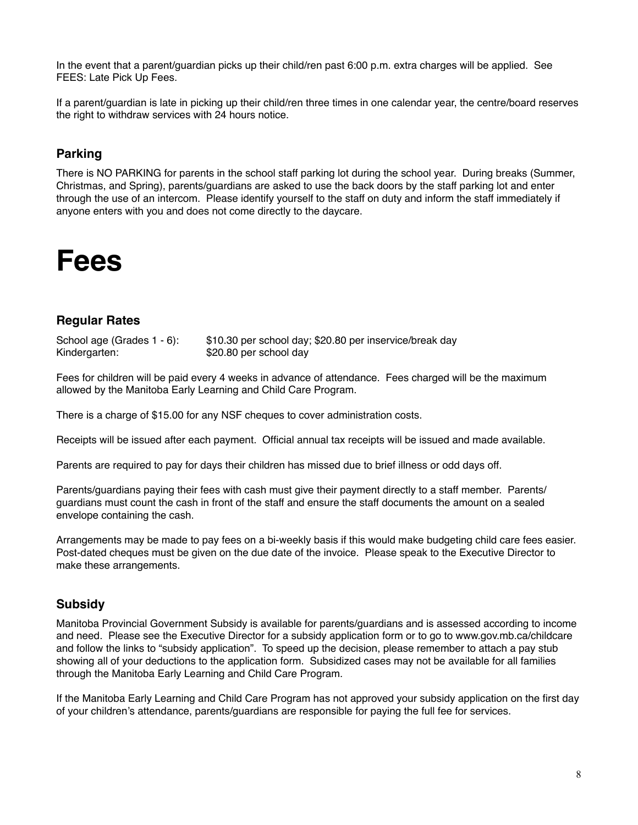In the event that a parent/guardian picks up their child/ren past 6:00 p.m. extra charges will be applied. See FEES: Late Pick Up Fees.

If a parent/guardian is late in picking up their child/ren three times in one calendar year, the centre/board reserves the right to withdraw services with 24 hours notice.

#### **Parking**

There is NO PARKING for parents in the school staff parking lot during the school year. During breaks (Summer, Christmas, and Spring), parents/guardians are asked to use the back doors by the staff parking lot and enter through the use of an intercom. Please identify yourself to the staff on duty and inform the staff immediately if anyone enters with you and does not come directly to the daycare.



#### **Regular Rates**

School age (Grades 1 - 6): \$10.30 per school day; \$20.80 per inservice/break day Kindergarten: \$20.80 per school day

Fees for children will be paid every 4 weeks in advance of attendance. Fees charged will be the maximum allowed by the Manitoba Early Learning and Child Care Program.

There is a charge of \$15.00 for any NSF cheques to cover administration costs.

Receipts will be issued after each payment. Official annual tax receipts will be issued and made available.

Parents are required to pay for days their children has missed due to brief illness or odd days off.

Parents/guardians paying their fees with cash must give their payment directly to a staff member. Parents/ guardians must count the cash in front of the staff and ensure the staff documents the amount on a sealed envelope containing the cash.

Arrangements may be made to pay fees on a bi-weekly basis if this would make budgeting child care fees easier. Post-dated cheques must be given on the due date of the invoice. Please speak to the Executive Director to make these arrangements.

#### **Subsidy**

Manitoba Provincial Government Subsidy is available for parents/guardians and is assessed according to income and need. Please see the Executive Director for a subsidy application form or to go to [www.gov.mb.ca/childcare](http://www.gov.mb.ca/childcare)  and follow the links to "subsidy application". To speed up the decision, please remember to attach a pay stub showing all of your deductions to the application form. Subsidized cases may not be available for all families through the Manitoba Early Learning and Child Care Program.

If the Manitoba Early Learning and Child Care Program has not approved your subsidy application on the first day of your children's attendance, parents/guardians are responsible for paying the full fee for services.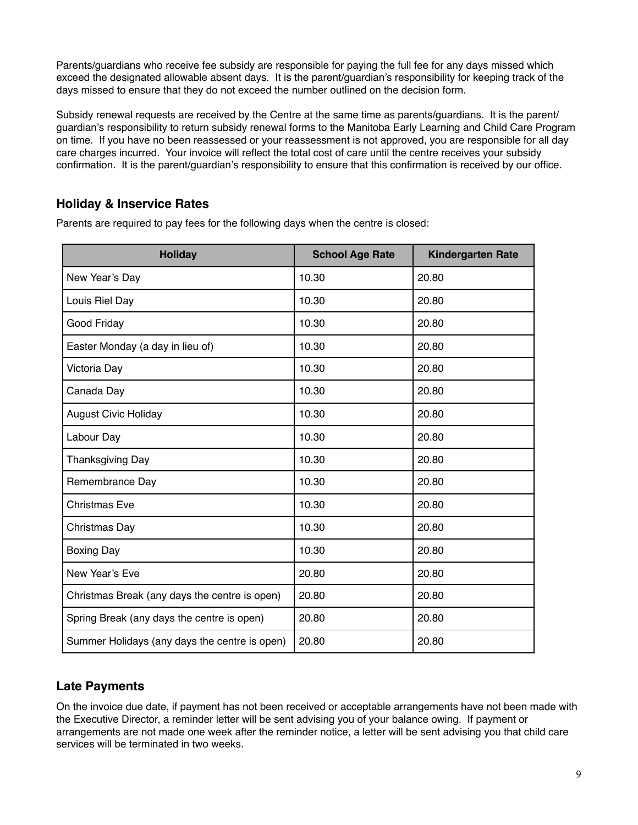Parents/guardians who receive fee subsidy are responsible for paying the full fee for any days missed which exceed the designated allowable absent days. It is the parent/guardian's responsibility for keeping track of the days missed to ensure that they do not exceed the number outlined on the decision form.

Subsidy renewal requests are received by the Centre at the same time as parents/guardians. It is the parent/ guardian's responsibility to return subsidy renewal forms to the Manitoba Early Learning and Child Care Program on time. If you have no been reassessed or your reassessment is not approved, you are responsible for all day care charges incurred. Your invoice will reflect the total cost of care until the centre receives your subsidy confirmation. It is the parent/guardian's responsibility to ensure that this confirmation is received by our office.

#### **Holiday & Inservice Rates**

| <b>Holiday</b>                                | <b>School Age Rate</b> | <b>Kindergarten Rate</b> |
|-----------------------------------------------|------------------------|--------------------------|
| New Year's Day                                | 10.30                  | 20.80                    |
| Louis Riel Day                                | 10.30                  | 20.80                    |
| Good Friday                                   | 10.30                  | 20.80                    |
| Easter Monday (a day in lieu of)              | 10.30                  | 20.80                    |
| Victoria Day                                  | 10.30                  | 20.80                    |
| Canada Day                                    | 10.30                  | 20.80                    |
| <b>August Civic Holiday</b>                   | 10.30                  | 20.80                    |
| Labour Day                                    | 10.30                  | 20.80                    |
| Thanksgiving Day                              | 10.30                  | 20.80                    |
| Remembrance Day                               | 10.30                  | 20.80                    |
| <b>Christmas Eve</b>                          | 10.30                  | 20.80                    |
| Christmas Day                                 | 10.30                  | 20.80                    |
| <b>Boxing Day</b>                             | 10.30                  | 20.80                    |
| New Year's Eve                                | 20.80                  | 20.80                    |
| Christmas Break (any days the centre is open) | 20.80                  | 20.80                    |
| Spring Break (any days the centre is open)    | 20.80                  | 20.80                    |
| Summer Holidays (any days the centre is open) | 20.80                  | 20.80                    |

Parents are required to pay fees for the following days when the centre is closed:

#### **Late Payments**

On the invoice due date, if payment has not been received or acceptable arrangements have not been made with the Executive Director, a reminder letter will be sent advising you of your balance owing. If payment or arrangements are not made one week after the reminder notice, a letter will be sent advising you that child care services will be terminated in two weeks.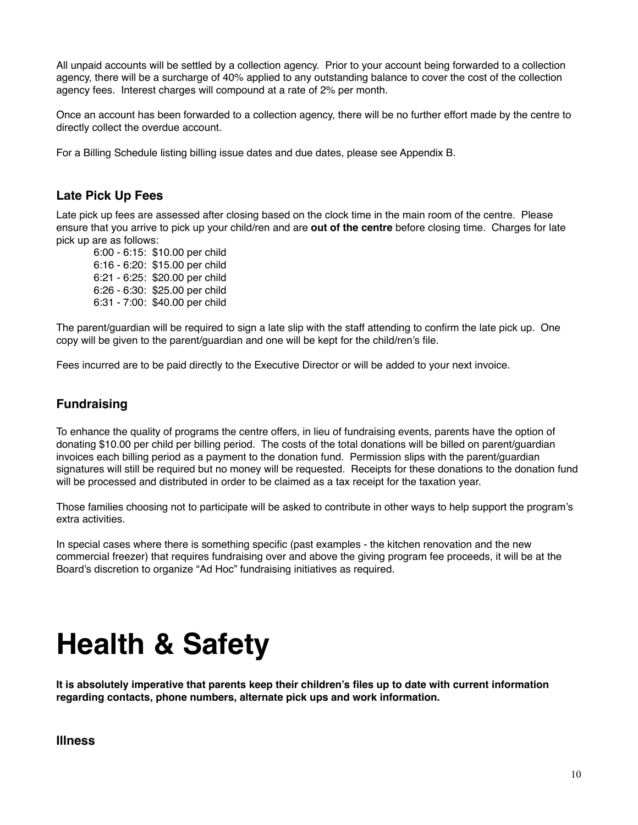All unpaid accounts will be settled by a collection agency. Prior to your account being forwarded to a collection agency, there will be a surcharge of 40% applied to any outstanding balance to cover the cost of the collection agency fees. Interest charges will compound at a rate of 2% per month.

Once an account has been forwarded to a collection agency, there will be no further effort made by the centre to directly collect the overdue account.

For a Billing Schedule listing billing issue dates and due dates, please see Appendix B.

#### **Late Pick Up Fees**

Late pick up fees are assessed after closing based on the clock time in the main room of the centre. Please ensure that you arrive to pick up your child/ren and are **out of the centre** before closing time. Charges for late pick up are as follows:

6:00 - 6:15: \$10.00 per child 6:16 - 6:20: \$15.00 per child 6:21 - 6:25: \$20.00 per child 6:26 - 6:30: \$25.00 per child 6:31 - 7:00: \$40.00 per child

The parent/guardian will be required to sign a late slip with the staff attending to confirm the late pick up. One copy will be given to the parent/guardian and one will be kept for the child/ren's file.

Fees incurred are to be paid directly to the Executive Director or will be added to your next invoice.

#### **Fundraising**

To enhance the quality of programs the centre offers, in lieu of fundraising events, parents have the option of donating \$10.00 per child per billing period. The costs of the total donations will be billed on parent/guardian invoices each billing period as a payment to the donation fund. Permission slips with the parent/guardian signatures will still be required but no money will be requested. Receipts for these donations to the donation fund will be processed and distributed in order to be claimed as a tax receipt for the taxation year.

Those families choosing not to participate will be asked to contribute in other ways to help support the program's extra activities.

In special cases where there is something specific (past examples - the kitchen renovation and the new commercial freezer) that requires fundraising over and above the giving program fee proceeds, it will be at the Board's discretion to organize "Ad Hoc" fundraising initiatives as required.

### **Health & Safety**

**It is absolutely imperative that parents keep their children's files up to date with current information regarding contacts, phone numbers, alternate pick ups and work information.**

#### **Illness**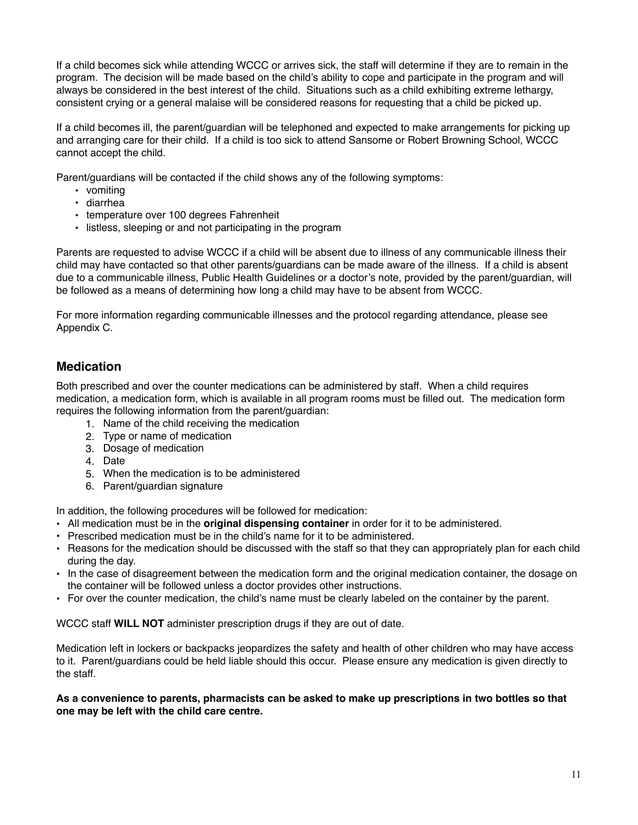If a child becomes sick while attending WCCC or arrives sick, the staff will determine if they are to remain in the program. The decision will be made based on the child's ability to cope and participate in the program and will always be considered in the best interest of the child. Situations such as a child exhibiting extreme lethargy, consistent crying or a general malaise will be considered reasons for requesting that a child be picked up.

If a child becomes ill, the parent/guardian will be telephoned and expected to make arrangements for picking up and arranging care for their child. If a child is too sick to attend Sansome or Robert Browning School, WCCC cannot accept the child.

Parent/guardians will be contacted if the child shows any of the following symptoms:

- vomiting
- diarrhea
- temperature over 100 degrees Fahrenheit
- listless, sleeping or and not participating in the program

Parents are requested to advise WCCC if a child will be absent due to illness of any communicable illness their child may have contacted so that other parents/guardians can be made aware of the illness. If a child is absent due to a communicable illness, Public Health Guidelines or a doctor's note, provided by the parent/guardian, will be followed as a means of determining how long a child may have to be absent from WCCC.

For more information regarding communicable illnesses and the protocol regarding attendance, please see Appendix C.

#### **Medication**

Both prescribed and over the counter medications can be administered by staff. When a child requires medication, a medication form, which is available in all program rooms must be filled out. The medication form requires the following information from the parent/guardian:

- 1. Name of the child receiving the medication
- 2. Type or name of medication
- 3. Dosage of medication
- 4. Date
- 5. When the medication is to be administered
- 6. Parent/guardian signature

In addition, the following procedures will be followed for medication:

- All medication must be in the **original dispensing container** in order for it to be administered.
- Prescribed medication must be in the child's name for it to be administered.
- Reasons for the medication should be discussed with the staff so that they can appropriately plan for each child during the day.
- In the case of disagreement between the medication form and the original medication container, the dosage on the container will be followed unless a doctor provides other instructions.
- For over the counter medication, the child's name must be clearly labeled on the container by the parent.

WCCC staff **WILL NOT** administer prescription drugs if they are out of date.

Medication left in lockers or backpacks jeopardizes the safety and health of other children who may have access to it. Parent/guardians could be held liable should this occur. Please ensure any medication is given directly to the staff.

**As a convenience to parents, pharmacists can be asked to make up prescriptions in two bottles so that one may be left with the child care centre.**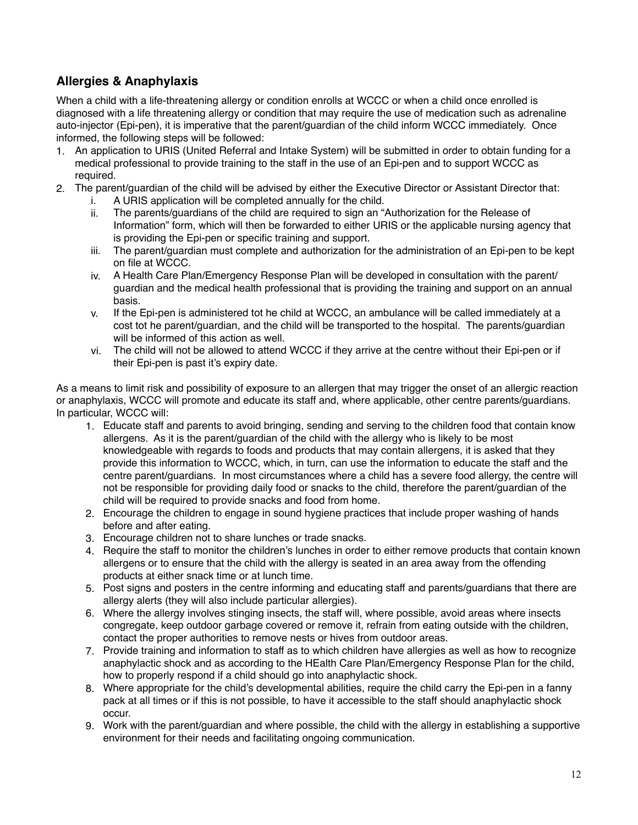#### **Allergies & Anaphylaxis**

When a child with a life-threatening allergy or condition enrolls at WCCC or when a child once enrolled is diagnosed with a life threatening allergy or condition that may require the use of medication such as adrenaline auto-injector (Epi-pen), it is imperative that the parent/guardian of the child inform WCCC immediately. Once informed, the following steps will be followed:

- 1. An application to URIS (United Referral and Intake System) will be submitted in order to obtain funding for a medical professional to provide training to the staff in the use of an Epi-pen and to support WCCC as required.
- 2. The parent/guardian of the child will be advised by either the Executive Director or Assistant Director that:
	- i. A URIS application will be completed annually for the child.
	- ii. The parents/guardians of the child are required to sign an "Authorization for the Release of Information" form, which will then be forwarded to either URIS or the applicable nursing agency that is providing the Epi-pen or specific training and support.
	- iii. The parent/guardian must complete and authorization for the administration of an Epi-pen to be kept on file at WCCC.
	- iv. A Health Care Plan/Emergency Response Plan will be developed in consultation with the parent/ guardian and the medical health professional that is providing the training and support on an annual basis.
	- v. If the Epi-pen is administered tot he child at WCCC, an ambulance will be called immediately at a cost tot he parent/guardian, and the child will be transported to the hospital. The parents/guardian will be informed of this action as well.
	- vi. The child will not be allowed to attend WCCC if they arrive at the centre without their Epi-pen or if their Epi-pen is past it's expiry date.

As a means to limit risk and possibility of exposure to an allergen that may trigger the onset of an allergic reaction or anaphylaxis, WCCC will promote and educate its staff and, where applicable, other centre parents/guardians. In particular, WCCC will:

- 1. Educate staff and parents to avoid bringing, sending and serving to the children food that contain know allergens. As it is the parent/guardian of the child with the allergy who is likely to be most knowledgeable with regards to foods and products that may contain allergens, it is asked that they provide this information to WCCC, which, in turn, can use the information to educate the staff and the centre parent/guardians. In most circumstances where a child has a severe food allergy, the centre will not be responsible for providing daily food or snacks to the child, therefore the parent/guardian of the child will be required to provide snacks and food from home.
- 2. Encourage the children to engage in sound hygiene practices that include proper washing of hands before and after eating.
- 3. Encourage children not to share lunches or trade snacks.
- 4. Require the staff to monitor the children's lunches in order to either remove products that contain known allergens or to ensure that the child with the allergy is seated in an area away from the offending products at either snack time or at lunch time.
- 5. Post signs and posters in the centre informing and educating staff and parents/guardians that there are allergy alerts (they will also include particular allergies).
- 6. Where the allergy involves stinging insects, the staff will, where possible, avoid areas where insects congregate, keep outdoor garbage covered or remove it, refrain from eating outside with the children, contact the proper authorities to remove nests or hives from outdoor areas.
- 7. Provide training and information to staff as to which children have allergies as well as how to recognize anaphylactic shock and as according to the HEalth Care Plan/Emergency Response Plan for the child, how to properly respond if a child should go into anaphylactic shock.
- 8. Where appropriate for the child's developmental abilities, require the child carry the Epi-pen in a fanny pack at all times or if this is not possible, to have it accessible to the staff should anaphylactic shock occur.
- 9. Work with the parent/guardian and where possible, the child with the allergy in establishing a supportive environment for their needs and facilitating ongoing communication.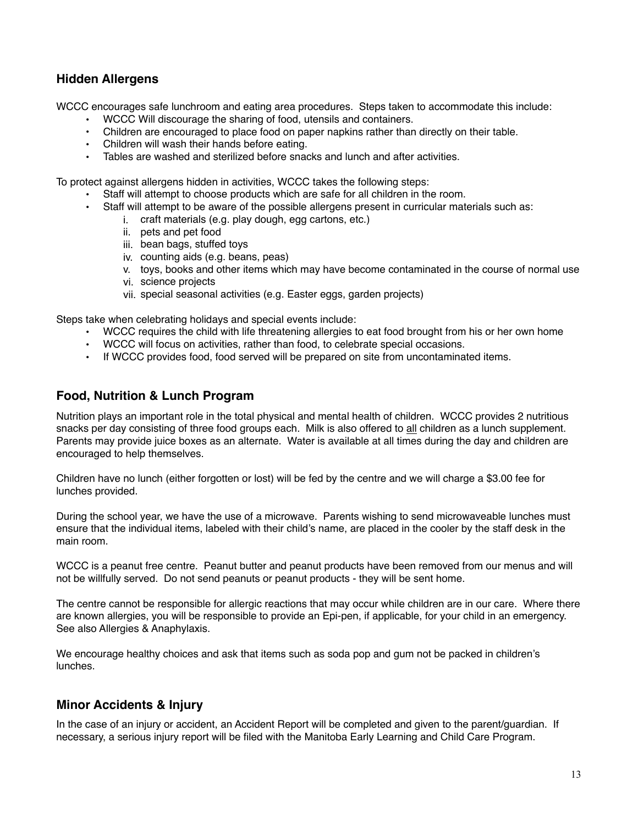#### **Hidden Allergens**

WCCC encourages safe lunchroom and eating area procedures. Steps taken to accommodate this include:

- WCCC Will discourage the sharing of food, utensils and containers.
- Children are encouraged to place food on paper napkins rather than directly on their table.
- Children will wash their hands before eating.
- Tables are washed and sterilized before snacks and lunch and after activities.

To protect against allergens hidden in activities, WCCC takes the following steps:

- Staff will attempt to choose products which are safe for all children in the room.
- Staff will attempt to be aware of the possible allergens present in curricular materials such as:
	- i. craft materials (e.g. play dough, egg cartons, etc.)
		- ii. pets and pet food
		- iii. bean bags, stuffed toys
	- iv. counting aids (e.g. beans, peas)
	- v. toys, books and other items which may have become contaminated in the course of normal use
	- vi. science projects
	- vii. special seasonal activities (e.g. Easter eggs, garden projects)

Steps take when celebrating holidays and special events include:

- WCCC requires the child with life threatening allergies to eat food brought from his or her own home
- WCCC will focus on activities, rather than food, to celebrate special occasions.
- If WCCC provides food, food served will be prepared on site from uncontaminated items.

#### **Food, Nutrition & Lunch Program**

Nutrition plays an important role in the total physical and mental health of children. WCCC provides 2 nutritious snacks per day consisting of three food groups each. Milk is also offered to all children as a lunch supplement. Parents may provide juice boxes as an alternate. Water is available at all times during the day and children are encouraged to help themselves.

Children have no lunch (either forgotten or lost) will be fed by the centre and we will charge a \$3.00 fee for lunches provided.

During the school year, we have the use of a microwave. Parents wishing to send microwaveable lunches must ensure that the individual items, labeled with their child's name, are placed in the cooler by the staff desk in the main room.

WCCC is a peanut free centre. Peanut butter and peanut products have been removed from our menus and will not be willfully served. Do not send peanuts or peanut products - they will be sent home.

The centre cannot be responsible for allergic reactions that may occur while children are in our care. Where there are known allergies, you will be responsible to provide an Epi-pen, if applicable, for your child in an emergency. See also Allergies & Anaphylaxis.

We encourage healthy choices and ask that items such as soda pop and gum not be packed in children's lunches.

#### **Minor Accidents & Injury**

In the case of an injury or accident, an Accident Report will be completed and given to the parent/guardian. If necessary, a serious injury report will be filed with the Manitoba Early Learning and Child Care Program.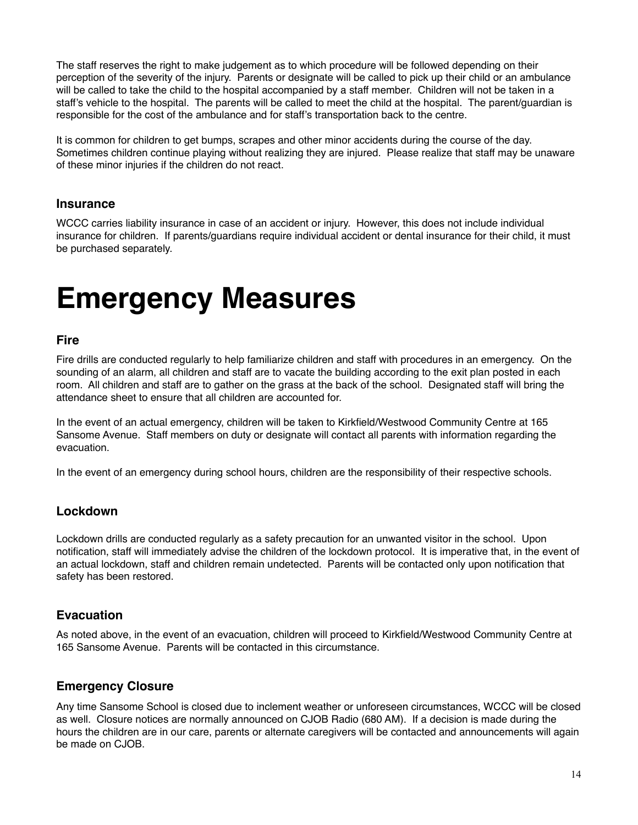The staff reserves the right to make judgement as to which procedure will be followed depending on their perception of the severity of the injury. Parents or designate will be called to pick up their child or an ambulance will be called to take the child to the hospital accompanied by a staff member. Children will not be taken in a staff's vehicle to the hospital. The parents will be called to meet the child at the hospital. The parent/guardian is responsible for the cost of the ambulance and for staff's transportation back to the centre.

It is common for children to get bumps, scrapes and other minor accidents during the course of the day. Sometimes children continue playing without realizing they are injured. Please realize that staff may be unaware of these minor injuries if the children do not react.

#### **Insurance**

WCCC carries liability insurance in case of an accident or injury. However, this does not include individual insurance for children. If parents/guardians require individual accident or dental insurance for their child, it must be purchased separately.

### **Emergency Measures**

#### **Fire**

Fire drills are conducted regularly to help familiarize children and staff with procedures in an emergency. On the sounding of an alarm, all children and staff are to vacate the building according to the exit plan posted in each room. All children and staff are to gather on the grass at the back of the school. Designated staff will bring the attendance sheet to ensure that all children are accounted for.

In the event of an actual emergency, children will be taken to Kirkfield/Westwood Community Centre at 165 Sansome Avenue. Staff members on duty or designate will contact all parents with information regarding the evacuation.

In the event of an emergency during school hours, children are the responsibility of their respective schools.

#### **Lockdown**

Lockdown drills are conducted regularly as a safety precaution for an unwanted visitor in the school. Upon notification, staff will immediately advise the children of the lockdown protocol. It is imperative that, in the event of an actual lockdown, staff and children remain undetected. Parents will be contacted only upon notification that safety has been restored.

#### **Evacuation**

As noted above, in the event of an evacuation, children will proceed to Kirkfield/Westwood Community Centre at 165 Sansome Avenue. Parents will be contacted in this circumstance.

#### **Emergency Closure**

Any time Sansome School is closed due to inclement weather or unforeseen circumstances, WCCC will be closed as well. Closure notices are normally announced on CJOB Radio (680 AM). If a decision is made during the hours the children are in our care, parents or alternate caregivers will be contacted and announcements will again be made on CJOB.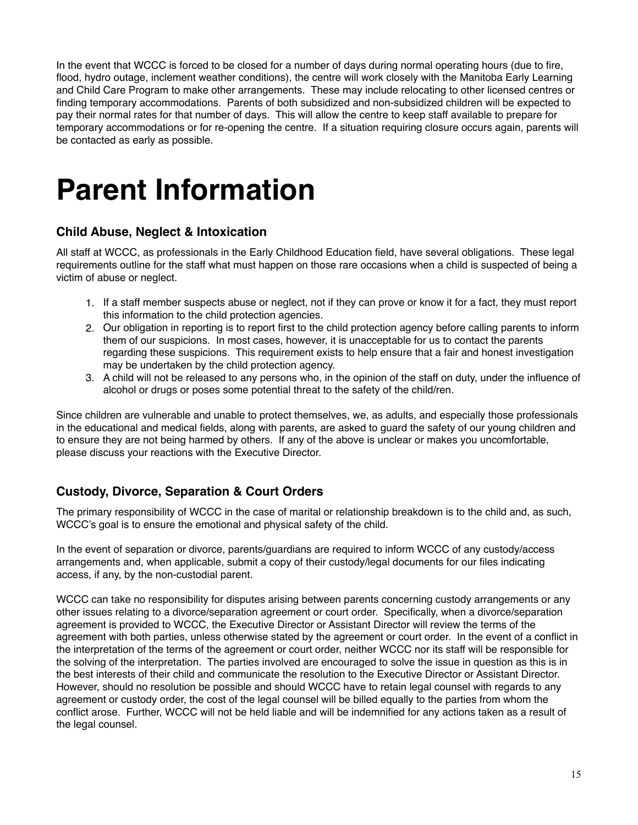In the event that WCCC is forced to be closed for a number of days during normal operating hours (due to fire, flood, hydro outage, inclement weather conditions), the centre will work closely with the Manitoba Early Learning and Child Care Program to make other arrangements. These may include relocating to other licensed centres or finding temporary accommodations. Parents of both subsidized and non-subsidized children will be expected to pay their normal rates for that number of days. This will allow the centre to keep staff available to prepare for temporary accommodations or for re-opening the centre. If a situation requiring closure occurs again, parents will be contacted as early as possible.

## **Parent Information**

#### **Child Abuse, Neglect & Intoxication**

All staff at WCCC, as professionals in the Early Childhood Education field, have several obligations. These legal requirements outline for the staff what must happen on those rare occasions when a child is suspected of being a victim of abuse or neglect.

- 1. If a staff member suspects abuse or neglect, not if they can prove or know it for a fact, they must report this information to the child protection agencies.
- 2. Our obligation in reporting is to report first to the child protection agency before calling parents to inform them of our suspicions. In most cases, however, it is unacceptable for us to contact the parents regarding these suspicions. This requirement exists to help ensure that a fair and honest investigation may be undertaken by the child protection agency.
- 3. A child will not be released to any persons who, in the opinion of the staff on duty, under the influence of alcohol or drugs or poses some potential threat to the safety of the child/ren.

Since children are vulnerable and unable to protect themselves, we, as adults, and especially those professionals in the educational and medical fields, along with parents, are asked to guard the safety of our young children and to ensure they are not being harmed by others. If any of the above is unclear or makes you uncomfortable, please discuss your reactions with the Executive Director.

#### **Custody, Divorce, Separation & Court Orders**

The primary responsibility of WCCC in the case of marital or relationship breakdown is to the child and, as such, WCCC's goal is to ensure the emotional and physical safety of the child.

In the event of separation or divorce, parents/guardians are required to inform WCCC of any custody/access arrangements and, when applicable, submit a copy of their custody/legal documents for our files indicating access, if any, by the non-custodial parent.

WCCC can take no responsibility for disputes arising between parents concerning custody arrangements or any other issues relating to a divorce/separation agreement or court order. Specifically, when a divorce/separation agreement is provided to WCCC, the Executive Director or Assistant Director will review the terms of the agreement with both parties, unless otherwise stated by the agreement or court order. In the event of a conflict in the interpretation of the terms of the agreement or court order, neither WCCC nor its staff will be responsible for the solving of the interpretation. The parties involved are encouraged to solve the issue in question as this is in the best interests of their child and communicate the resolution to the Executive Director or Assistant Director. However, should no resolution be possible and should WCCC have to retain legal counsel with regards to any agreement or custody order, the cost of the legal counsel will be billed equally to the parties from whom the conflict arose. Further, WCCC will not be held liable and will be indemnified for any actions taken as a result of the legal counsel.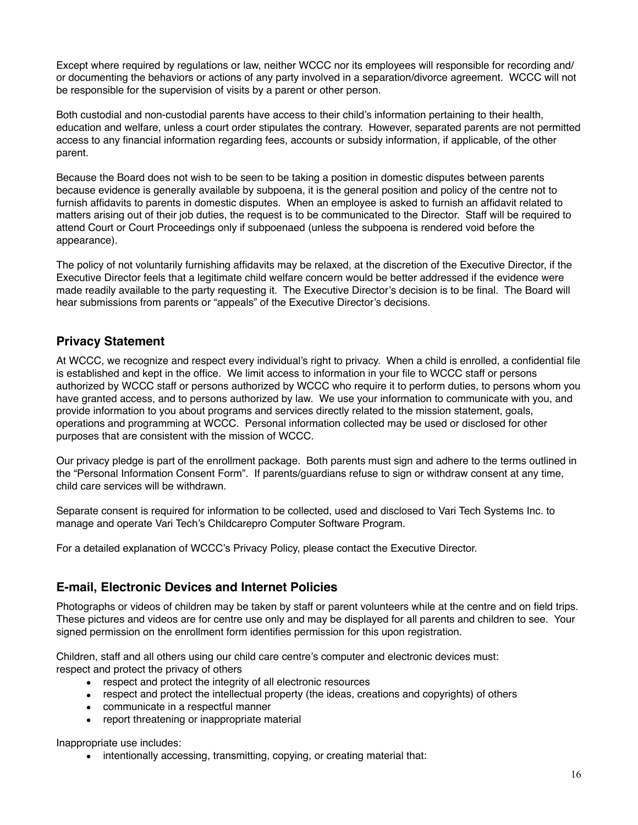Except where required by regulations or law, neither WCCC nor its employees will responsible for recording and/ or documenting the behaviors or actions of any party involved in a separation/divorce agreement. WCCC will not be responsible for the supervision of visits by a parent or other person.

Both custodial and non-custodial parents have access to their child's information pertaining to their health, education and welfare, unless a court order stipulates the contrary. However, separated parents are not permitted access to any financial information regarding fees, accounts or subsidy information, if applicable, of the other parent.

Because the Board does not wish to be seen to be taking a position in domestic disputes between parents because evidence is generally available by subpoena, it is the general position and policy of the centre not to furnish affidavits to parents in domestic disputes. When an employee is asked to furnish an affidavit related to matters arising out of their job duties, the request is to be communicated to the Director. Staff will be required to attend Court or Court Proceedings only if subpoenaed (unless the subpoena is rendered void before the appearance).

The policy of not voluntarily furnishing affidavits may be relaxed, at the discretion of the Executive Director, if the Executive Director feels that a legitimate child welfare concern would be better addressed if the evidence were made readily available to the party requesting it. The Executive Director's decision is to be final. The Board will hear submissions from parents or "appeals" of the Executive Director's decisions.

#### **Privacy Statement**

At WCCC, we recognize and respect every individual's right to privacy. When a child is enrolled, a confidential file is established and kept in the office. We limit access to information in your file to WCCC staff or persons authorized by WCCC staff or persons authorized by WCCC who require it to perform duties, to persons whom you have granted access, and to persons authorized by law. We use your information to communicate with you, and provide information to you about programs and services directly related to the mission statement, goals, operations and programming at WCCC. Personal information collected may be used or disclosed for other purposes that are consistent with the mission of WCCC.

Our privacy pledge is part of the enrollment package. Both parents must sign and adhere to the terms outlined in the "Personal Information Consent Form". If parents/guardians refuse to sign or withdraw consent at any time, child care services will be withdrawn.

Separate consent is required for information to be collected, used and disclosed to Vari Tech Systems Inc. to manage and operate Vari Tech's Childcarepro Computer Software Program.

For a detailed explanation of WCCC's Privacy Policy, please contact the Executive Director.

#### **E-mail, Electronic Devices and Internet Policies**

Photographs or videos of children may be taken by staff or parent volunteers while at the centre and on field trips. These pictures and videos are for centre use only and may be displayed for all parents and children to see. Your signed permission on the enrollment form identifies permission for this upon registration.

Children, staff and all others using our child care centre's computer and electronic devices must: respect and protect the privacy of others

- respect and protect the integrity of all electronic resources
- respect and protect the intellectual property (the ideas, creations and copyrights) of others
- communicate in a respectful manner
- report threatening or inappropriate material

Inappropriate use includes:

• intentionally accessing, transmitting, copying, or creating material that: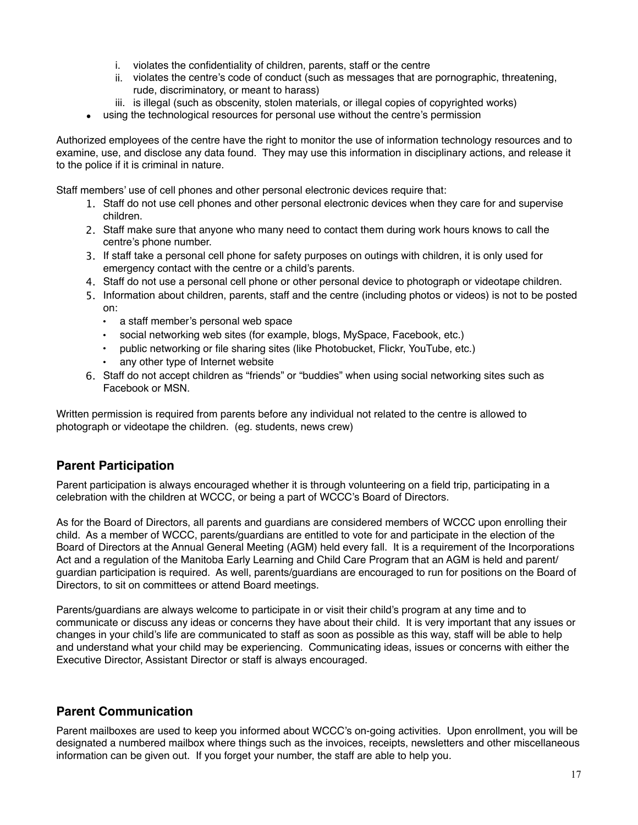- i. violates the confidentiality of children, parents, staff or the centre
- ii. violates the centre's code of conduct (such as messages that are pornographic, threatening, rude, discriminatory, or meant to harass)
- iii. is illegal (such as obscenity, stolen materials, or illegal copies of copyrighted works)
- using the technological resources for personal use without the centre's permission

Authorized employees of the centre have the right to monitor the use of information technology resources and to examine, use, and disclose any data found. They may use this information in disciplinary actions, and release it to the police if it is criminal in nature.

Staff members' use of cell phones and other personal electronic devices require that:

- 1. Staff do not use cell phones and other personal electronic devices when they care for and supervise children.
- 2. Staff make sure that anyone who many need to contact them during work hours knows to call the centre's phone number.
- 3. If staff take a personal cell phone for safety purposes on outings with children, it is only used for emergency contact with the centre or a child's parents.
- 4. Staff do not use a personal cell phone or other personal device to photograph or videotape children.
- 5. Information about children, parents, staff and the centre (including photos or videos) is not to be posted on:
	- a staff member's personal web space
	- social networking web sites (for example, blogs, MySpace, Facebook, etc.)
	- public networking or file sharing sites (like Photobucket, Flickr, YouTube, etc.) any other type of Internet website
- 6. Staff do not accept children as "friends" or "buddies" when using social networking sites such as Facebook or MSN.

Written permission is required from parents before any individual not related to the centre is allowed to photograph or videotape the children. (eg. students, news crew)

#### **Parent Participation**

Parent participation is always encouraged whether it is through volunteering on a field trip, participating in a celebration with the children at WCCC, or being a part of WCCC's Board of Directors.

As for the Board of Directors, all parents and guardians are considered members of WCCC upon enrolling their child. As a member of WCCC, parents/guardians are entitled to vote for and participate in the election of the Board of Directors at the Annual General Meeting (AGM) held every fall. It is a requirement of the Incorporations Act and a regulation of the Manitoba Early Learning and Child Care Program that an AGM is held and parent/ guardian participation is required. As well, parents/guardians are encouraged to run for positions on the Board of Directors, to sit on committees or attend Board meetings.

Parents/guardians are always welcome to participate in or visit their child's program at any time and to communicate or discuss any ideas or concerns they have about their child. It is very important that any issues or changes in your child's life are communicated to staff as soon as possible as this way, staff will be able to help and understand what your child may be experiencing. Communicating ideas, issues or concerns with either the Executive Director, Assistant Director or staff is always encouraged.

#### **Parent Communication**

Parent mailboxes are used to keep you informed about WCCC's on-going activities. Upon enrollment, you will be designated a numbered mailbox where things such as the invoices, receipts, newsletters and other miscellaneous information can be given out. If you forget your number, the staff are able to help you.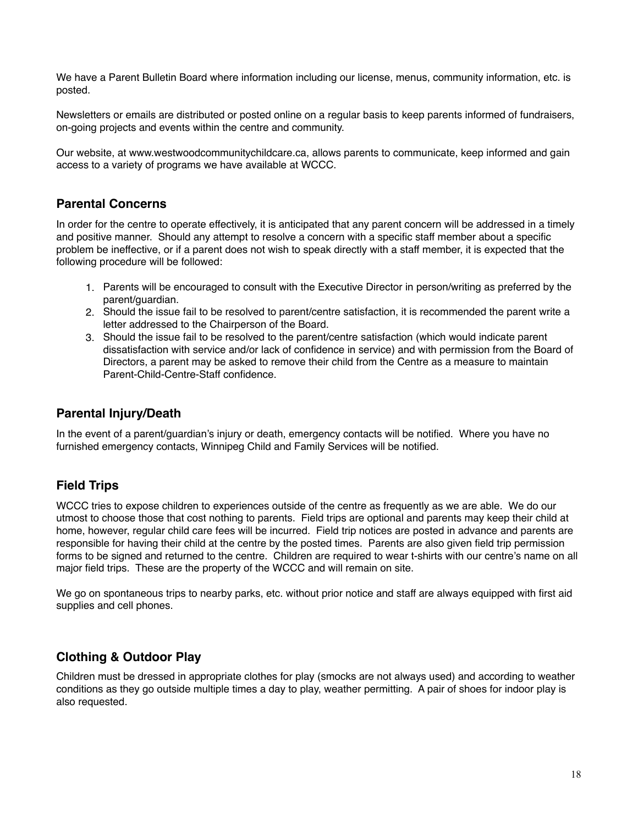We have a Parent Bulletin Board where information including our license, menus, community information, etc. is posted.

Newsletters or emails are distributed or posted online on a regular basis to keep parents informed of fundraisers, on-going projects and events within the centre and community.

Our website, at [www.westwoodcommunitychildcare.ca](http://www.westwoodcommunitychildcare.ca), allows parents to communicate, keep informed and gain access to a variety of programs we have available at WCCC.

#### **Parental Concerns**

In order for the centre to operate effectively, it is anticipated that any parent concern will be addressed in a timely and positive manner. Should any attempt to resolve a concern with a specific staff member about a specific problem be ineffective, or if a parent does not wish to speak directly with a staff member, it is expected that the following procedure will be followed:

- 1. Parents will be encouraged to consult with the Executive Director in person/writing as preferred by the parent/guardian.
- 2. Should the issue fail to be resolved to parent/centre satisfaction, it is recommended the parent write a letter addressed to the Chairperson of the Board.
- 3. Should the issue fail to be resolved to the parent/centre satisfaction (which would indicate parent dissatisfaction with service and/or lack of confidence in service) and with permission from the Board of Directors, a parent may be asked to remove their child from the Centre as a measure to maintain Parent-Child-Centre-Staff confidence.

#### **Parental Injury/Death**

In the event of a parent/guardian's injury or death, emergency contacts will be notified. Where you have no furnished emergency contacts, Winnipeg Child and Family Services will be notified.

#### **Field Trips**

WCCC tries to expose children to experiences outside of the centre as frequently as we are able. We do our utmost to choose those that cost nothing to parents. Field trips are optional and parents may keep their child at home, however, regular child care fees will be incurred. Field trip notices are posted in advance and parents are responsible for having their child at the centre by the posted times. Parents are also given field trip permission forms to be signed and returned to the centre. Children are required to wear t-shirts with our centre's name on all major field trips. These are the property of the WCCC and will remain on site.

We go on spontaneous trips to nearby parks, etc. without prior notice and staff are always equipped with first aid supplies and cell phones.

#### **Clothing & Outdoor Play**

Children must be dressed in appropriate clothes for play (smocks are not always used) and according to weather conditions as they go outside multiple times a day to play, weather permitting. A pair of shoes for indoor play is also requested.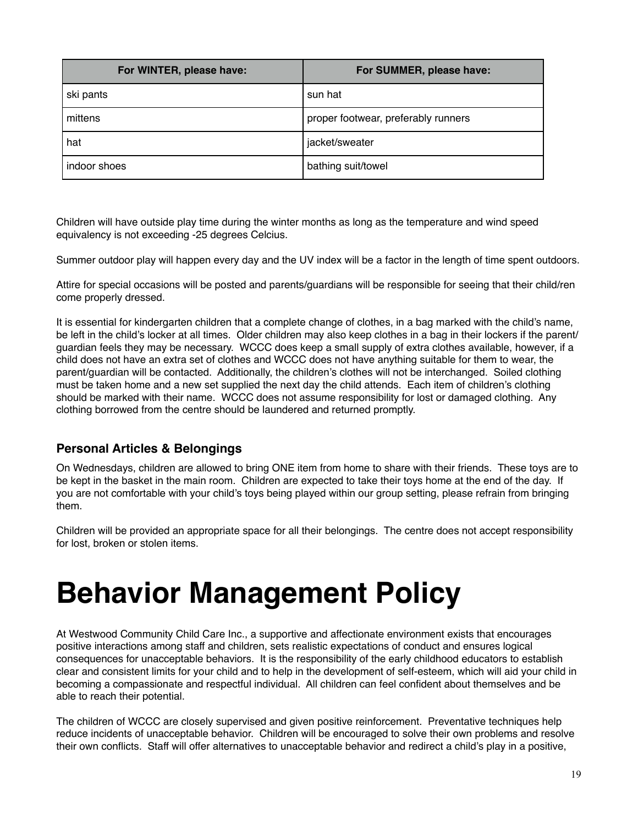| For WINTER, please have: | For SUMMER, please have:            |
|--------------------------|-------------------------------------|
| ski pants                | sun hat                             |
| mittens                  | proper footwear, preferably runners |
| hat                      | jacket/sweater                      |
| indoor shoes             | bathing suit/towel                  |

Children will have outside play time during the winter months as long as the temperature and wind speed equivalency is not exceeding -25 degrees Celcius.

Summer outdoor play will happen every day and the UV index will be a factor in the length of time spent outdoors.

Attire for special occasions will be posted and parents/guardians will be responsible for seeing that their child/ren come properly dressed.

It is essential for kindergarten children that a complete change of clothes, in a bag marked with the child's name, be left in the child's locker at all times. Older children may also keep clothes in a bag in their lockers if the parent/ guardian feels they may be necessary. WCCC does keep a small supply of extra clothes available, however, if a child does not have an extra set of clothes and WCCC does not have anything suitable for them to wear, the parent/guardian will be contacted. Additionally, the children's clothes will not be interchanged. Soiled clothing must be taken home and a new set supplied the next day the child attends. Each item of children's clothing should be marked with their name. WCCC does not assume responsibility for lost or damaged clothing. Any clothing borrowed from the centre should be laundered and returned promptly.

#### **Personal Articles & Belongings**

On Wednesdays, children are allowed to bring ONE item from home to share with their friends. These toys are to be kept in the basket in the main room. Children are expected to take their toys home at the end of the day. If you are not comfortable with your child's toys being played within our group setting, please refrain from bringing them.

Children will be provided an appropriate space for all their belongings. The centre does not accept responsibility for lost, broken or stolen items.

### **Behavior Management Policy**

At Westwood Community Child Care Inc., a supportive and affectionate environment exists that encourages positive interactions among staff and children, sets realistic expectations of conduct and ensures logical consequences for unacceptable behaviors. It is the responsibility of the early childhood educators to establish clear and consistent limits for your child and to help in the development of self-esteem, which will aid your child in becoming a compassionate and respectful individual. All children can feel confident about themselves and be able to reach their potential.

The children of WCCC are closely supervised and given positive reinforcement. Preventative techniques help reduce incidents of unacceptable behavior. Children will be encouraged to solve their own problems and resolve their own conflicts. Staff will offer alternatives to unacceptable behavior and redirect a child's play in a positive,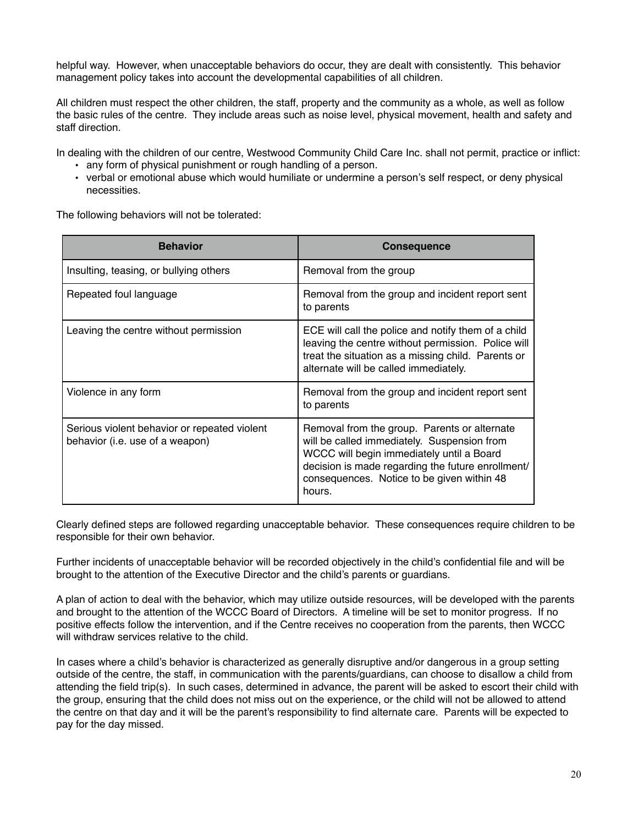helpful way. However, when unacceptable behaviors do occur, they are dealt with consistently. This behavior management policy takes into account the developmental capabilities of all children.

All children must respect the other children, the staff, property and the community as a whole, as well as follow the basic rules of the centre. They include areas such as noise level, physical movement, health and safety and staff direction.

In dealing with the children of our centre, Westwood Community Child Care Inc. shall not permit, practice or inflict:

- any form of physical punishment or rough handling of a person.
- verbal or emotional abuse which would humiliate or undermine a person's self respect, or deny physical necessities.

The following behaviors will not be tolerated:

| <b>Behavior</b>                                                                 | <b>Consequence</b>                                                                                                                                                                                                                                    |
|---------------------------------------------------------------------------------|-------------------------------------------------------------------------------------------------------------------------------------------------------------------------------------------------------------------------------------------------------|
| Insulting, teasing, or bullying others                                          | Removal from the group                                                                                                                                                                                                                                |
| Repeated foul language                                                          | Removal from the group and incident report sent<br>to parents                                                                                                                                                                                         |
| Leaving the centre without permission                                           | ECE will call the police and notify them of a child<br>leaving the centre without permission. Police will<br>treat the situation as a missing child. Parents or<br>alternate will be called immediately.                                              |
| Violence in any form                                                            | Removal from the group and incident report sent<br>to parents                                                                                                                                                                                         |
| Serious violent behavior or repeated violent<br>behavior (i.e. use of a weapon) | Removal from the group. Parents or alternate<br>will be called immediately. Suspension from<br>WCCC will begin immediately until a Board<br>decision is made regarding the future enrollment/<br>consequences. Notice to be given within 48<br>hours. |

Clearly defined steps are followed regarding unacceptable behavior. These consequences require children to be responsible for their own behavior.

Further incidents of unacceptable behavior will be recorded objectively in the child's confidential file and will be brought to the attention of the Executive Director and the child's parents or guardians.

A plan of action to deal with the behavior, which may utilize outside resources, will be developed with the parents and brought to the attention of the WCCC Board of Directors. A timeline will be set to monitor progress. If no positive effects follow the intervention, and if the Centre receives no cooperation from the parents, then WCCC will withdraw services relative to the child.

In cases where a child's behavior is characterized as generally disruptive and/or dangerous in a group setting outside of the centre, the staff, in communication with the parents/guardians, can choose to disallow a child from attending the field trip(s). In such cases, determined in advance, the parent will be asked to escort their child with the group, ensuring that the child does not miss out on the experience, or the child will not be allowed to attend the centre on that day and it will be the parent's responsibility to find alternate care. Parents will be expected to pay for the day missed.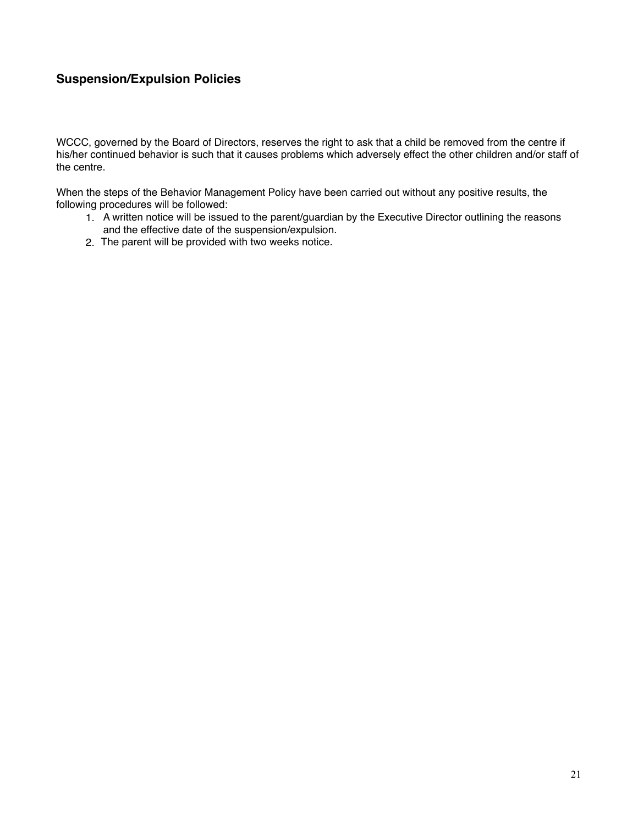#### **Suspension/Expulsion Policies**

WCCC, governed by the Board of Directors, reserves the right to ask that a child be removed from the centre if his/her continued behavior is such that it causes problems which adversely effect the other children and/or staff of the centre.

When the steps of the Behavior Management Policy have been carried out without any positive results, the following procedures will be followed:

- 1. A written notice will be issued to the parent/guardian by the Executive Director outlining the reasons and the effective date of the suspension/expulsion.
- 2. The parent will be provided with two weeks notice.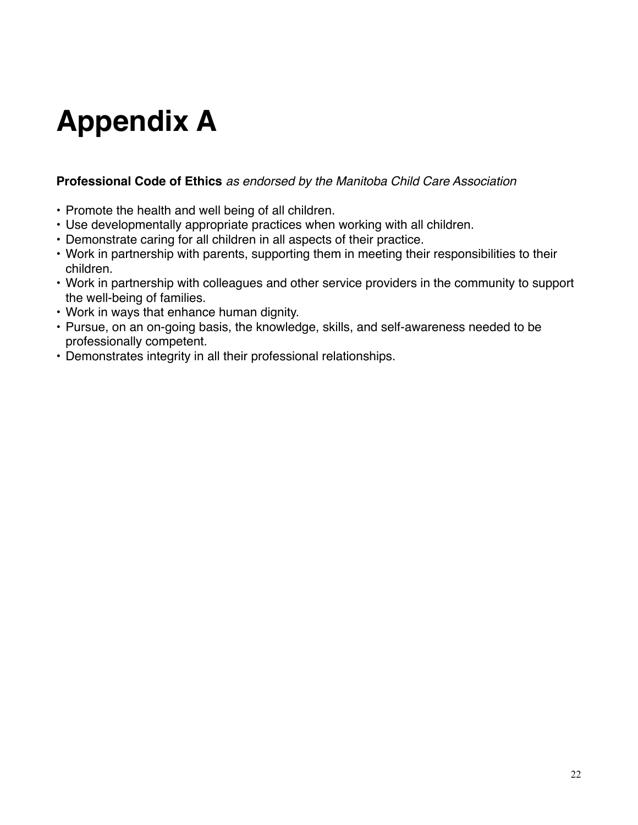## **Appendix A**

#### **Professional Code of Ethics** *as endorsed by the Manitoba Child Care Association*

- Promote the health and well being of all children.
- Use developmentally appropriate practices when working with all children.
- Demonstrate caring for all children in all aspects of their practice.
- Work in partnership with parents, supporting them in meeting their responsibilities to their children.
- Work in partnership with colleagues and other service providers in the community to support the well-being of families.
- Work in ways that enhance human dignity.
- Pursue, on an on-going basis, the knowledge, skills, and self-awareness needed to be professionally competent.
- Demonstrates integrity in all their professional relationships.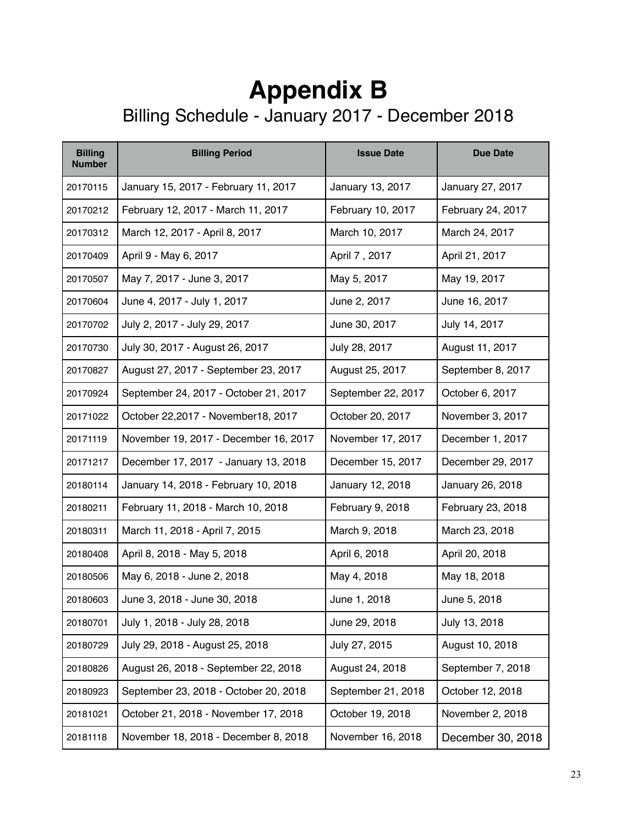### **Appendix B** Billing Schedule - January 2017 - December 2018

| <b>Billing</b><br><b>Number</b> | <b>Billing Period</b>                 | <b>Issue Date</b>  | <b>Due Date</b>   |
|---------------------------------|---------------------------------------|--------------------|-------------------|
| 20170115                        | January 15, 2017 - February 11, 2017  | January 13, 2017   | January 27, 2017  |
| 20170212                        | February 12, 2017 - March 11, 2017    | February 10, 2017  | February 24, 2017 |
| 20170312                        | March 12, 2017 - April 8, 2017        | March 10, 2017     | March 24, 2017    |
| 20170409                        | April 9 - May 6, 2017                 | April 7, 2017      | April 21, 2017    |
| 20170507                        | May 7, 2017 - June 3, 2017            | May 5, 2017        | May 19, 2017      |
| 20170604                        | June 4, 2017 - July 1, 2017           | June 2, 2017       | June 16, 2017     |
| 20170702                        | July 2, 2017 - July 29, 2017          | June 30, 2017      | July 14, 2017     |
| 20170730                        | July 30, 2017 - August 26, 2017       | July 28, 2017      | August 11, 2017   |
| 20170827                        | August 27, 2017 - September 23, 2017  | August 25, 2017    | September 8, 2017 |
| 20170924                        | September 24, 2017 - October 21, 2017 | September 22, 2017 | October 6, 2017   |
| 20171022                        | October 22,2017 - November18, 2017    | October 20, 2017   | November 3, 2017  |
| 20171119                        | November 19, 2017 - December 16, 2017 | November 17, 2017  | December 1, 2017  |
| 20171217                        | December 17, 2017 - January 13, 2018  | December 15, 2017  | December 29, 2017 |
| 20180114                        | January 14, 2018 - February 10, 2018  | January 12, 2018   | January 26, 2018  |
| 20180211                        | February 11, 2018 - March 10, 2018    | February 9, 2018   | February 23, 2018 |
| 20180311                        | March 11, 2018 - April 7, 2015        | March 9, 2018      | March 23, 2018    |
| 20180408                        | April 8, 2018 - May 5, 2018           | April 6, 2018      | April 20, 2018    |
| 20180506                        | May 6, 2018 - June 2, 2018            | May 4, 2018        | May 18, 2018      |
| 20180603                        | June 3, 2018 - June 30, 2018          | June 1, 2018       | June 5, 2018      |
| 20180701                        | July 1, 2018 - July 28, 2018          | June 29, 2018      | July 13, 2018     |
| 20180729                        | July 29, 2018 - August 25, 2018       | July 27, 2015      | August 10, 2018   |
| 20180826                        | August 26, 2018 - September 22, 2018  | August 24, 2018    | September 7, 2018 |
| 20180923                        | September 23, 2018 - October 20, 2018 | September 21, 2018 | October 12, 2018  |
| 20181021                        | October 21, 2018 - November 17, 2018  | October 19, 2018   | November 2, 2018  |
| 20181118                        | November 18, 2018 - December 8, 2018  | November 16, 2018  | December 30, 2018 |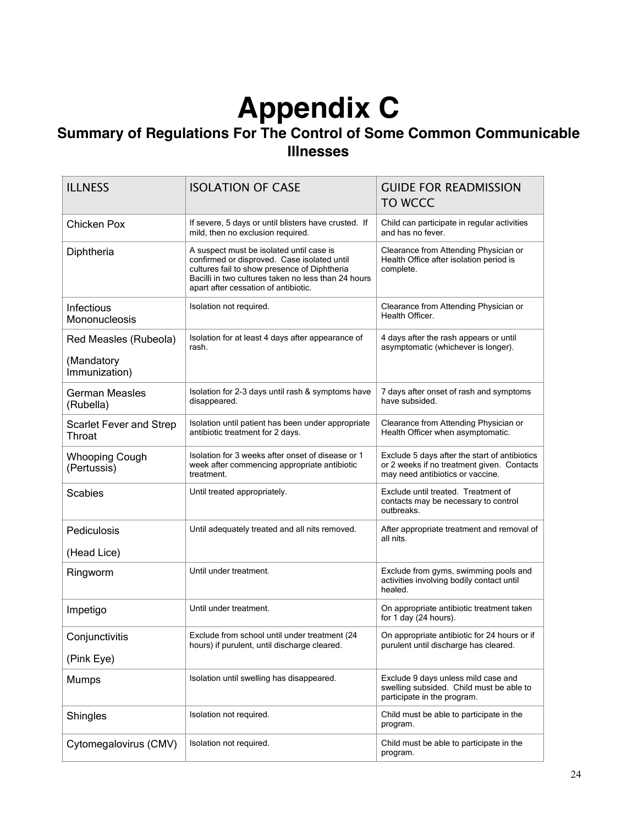## **Appendix C**

#### **Summary of Regulations For The Control of Some Common Communicable Illnesses**

| <b>ILLNESS</b>                                       | <b>ISOLATION OF CASE</b>                                                                                                                                                                                                               | <b>GUIDE FOR READMISSION</b><br>TO WCCC                                                                                         |
|------------------------------------------------------|----------------------------------------------------------------------------------------------------------------------------------------------------------------------------------------------------------------------------------------|---------------------------------------------------------------------------------------------------------------------------------|
| Chicken Pox                                          | If severe, 5 days or until blisters have crusted. If<br>mild, then no exclusion required.                                                                                                                                              | Child can participate in regular activities<br>and has no fever.                                                                |
| Diphtheria                                           | A suspect must be isolated until case is<br>confirmed or disproved. Case isolated until<br>cultures fail to show presence of Diphtheria<br>Bacilli in two cultures taken no less than 24 hours<br>apart after cessation of antibiotic. | Clearance from Attending Physician or<br>Health Office after isolation period is<br>complete.                                   |
| Infectious<br>Mononucleosis                          | Isolation not required.                                                                                                                                                                                                                | Clearance from Attending Physician or<br>Health Officer.                                                                        |
| Red Measles (Rubeola)<br>(Mandatory<br>Immunization) | Isolation for at least 4 days after appearance of<br>rash.                                                                                                                                                                             | 4 days after the rash appears or until<br>asymptomatic (whichever is longer).                                                   |
| <b>German Measles</b><br>(Rubella)                   | Isolation for 2-3 days until rash & symptoms have<br>disappeared.                                                                                                                                                                      | 7 days after onset of rash and symptoms<br>have subsided.                                                                       |
| <b>Scarlet Fever and Strep</b><br>Throat             | Isolation until patient has been under appropriate<br>antibiotic treatment for 2 days.                                                                                                                                                 | Clearance from Attending Physician or<br>Health Officer when asymptomatic.                                                      |
| <b>Whooping Cough</b><br>(Pertussis)                 | Isolation for 3 weeks after onset of disease or 1<br>week after commencing appropriate antibiotic<br>treatment.                                                                                                                        | Exclude 5 days after the start of antibiotics<br>or 2 weeks if no treatment given. Contacts<br>may need antibiotics or vaccine. |
| <b>Scabies</b>                                       | Until treated appropriately.                                                                                                                                                                                                           | Exclude until treated. Treatment of<br>contacts may be necessary to control<br>outbreaks.                                       |
| Pediculosis<br>(Head Lice)                           | Until adequately treated and all nits removed.                                                                                                                                                                                         | After appropriate treatment and removal of<br>all nits.                                                                         |
| Ringworm                                             | Until under treatment.                                                                                                                                                                                                                 | Exclude from gyms, swimming pools and<br>activities involving bodily contact until<br>healed.                                   |
| Impetigo                                             | Until under treatment.                                                                                                                                                                                                                 | On appropriate antibiotic treatment taken<br>for 1 day (24 hours).                                                              |
| Conjunctivitis<br>(Pink Eye)                         | Exclude from school until under treatment (24<br>hours) if purulent, until discharge cleared.                                                                                                                                          | On appropriate antibiotic for 24 hours or if<br>purulent until discharge has cleared.                                           |
| Mumps                                                | Isolation until swelling has disappeared.                                                                                                                                                                                              | Exclude 9 days unless mild case and<br>swelling subsided. Child must be able to<br>participate in the program.                  |
| Shingles                                             | Isolation not required.                                                                                                                                                                                                                | Child must be able to participate in the<br>program.                                                                            |
| Cytomegalovirus (CMV)                                | Isolation not required.                                                                                                                                                                                                                | Child must be able to participate in the<br>program.                                                                            |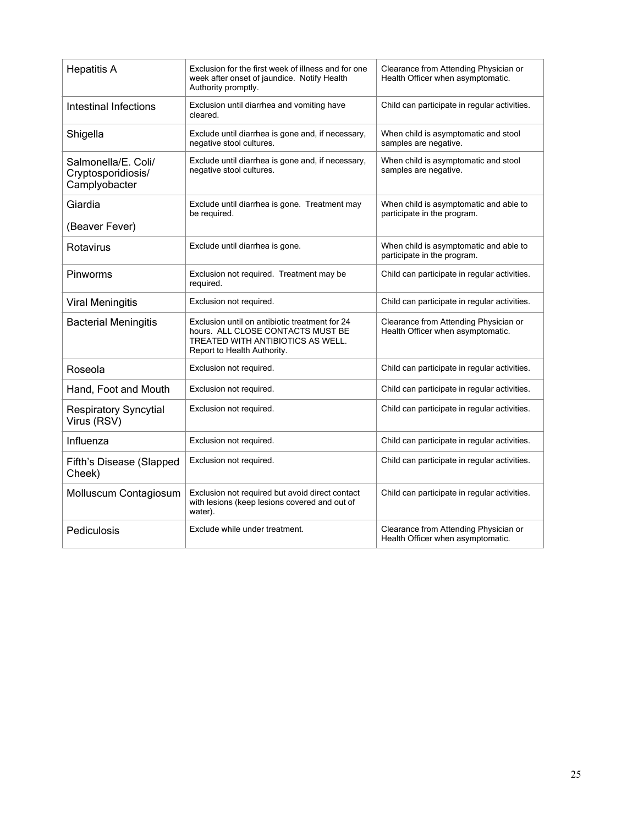| <b>Hepatitis A</b>                                         | Exclusion for the first week of illness and for one<br>week after onset of jaundice. Notify Health<br>Authority promptly.                               | Clearance from Attending Physician or<br>Health Officer when asymptomatic. |
|------------------------------------------------------------|---------------------------------------------------------------------------------------------------------------------------------------------------------|----------------------------------------------------------------------------|
| Intestinal Infections                                      | Exclusion until diarrhea and vomiting have<br>cleared.                                                                                                  | Child can participate in regular activities.                               |
| Shigella                                                   | Exclude until diarrhea is gone and, if necessary,<br>negative stool cultures.                                                                           | When child is asymptomatic and stool<br>samples are negative.              |
| Salmonella/E. Coli/<br>Cryptosporidiosis/<br>Camplyobacter | Exclude until diarrhea is gone and, if necessary,<br>negative stool cultures.                                                                           | When child is asymptomatic and stool<br>samples are negative.              |
| Giardia<br>(Beaver Fever)                                  | Exclude until diarrhea is gone. Treatment may<br>be required.                                                                                           | When child is asymptomatic and able to<br>participate in the program.      |
|                                                            |                                                                                                                                                         |                                                                            |
| Rotavirus                                                  | Exclude until diarrhea is gone.                                                                                                                         | When child is asymptomatic and able to<br>participate in the program.      |
| Pinworms                                                   | Exclusion not required. Treatment may be<br>required.                                                                                                   | Child can participate in regular activities.                               |
| <b>Viral Meningitis</b>                                    | Exclusion not required.                                                                                                                                 | Child can participate in regular activities.                               |
| <b>Bacterial Meningitis</b>                                | Exclusion until on antibiotic treatment for 24<br>hours. ALL CLOSE CONTACTS MUST BE<br>TREATED WITH ANTIBIOTICS AS WELL.<br>Report to Health Authority. | Clearance from Attending Physician or<br>Health Officer when asymptomatic. |
| Roseola                                                    | Exclusion not required.                                                                                                                                 | Child can participate in regular activities.                               |
| Hand, Foot and Mouth                                       | Exclusion not required.                                                                                                                                 | Child can participate in regular activities.                               |
| <b>Respiratory Syncytial</b><br>Virus (RSV)                | Exclusion not required.                                                                                                                                 | Child can participate in regular activities.                               |
| Influenza                                                  | Exclusion not required.                                                                                                                                 | Child can participate in regular activities.                               |
| Fifth's Disease (Slapped<br>Cheek)                         | Exclusion not required.                                                                                                                                 | Child can participate in regular activities.                               |
| Molluscum Contagiosum                                      | Exclusion not required but avoid direct contact<br>with lesions (keep lesions covered and out of<br>water).                                             | Child can participate in regular activities.                               |
| Pediculosis                                                | Exclude while under treatment.                                                                                                                          | Clearance from Attending Physician or<br>Health Officer when asymptomatic. |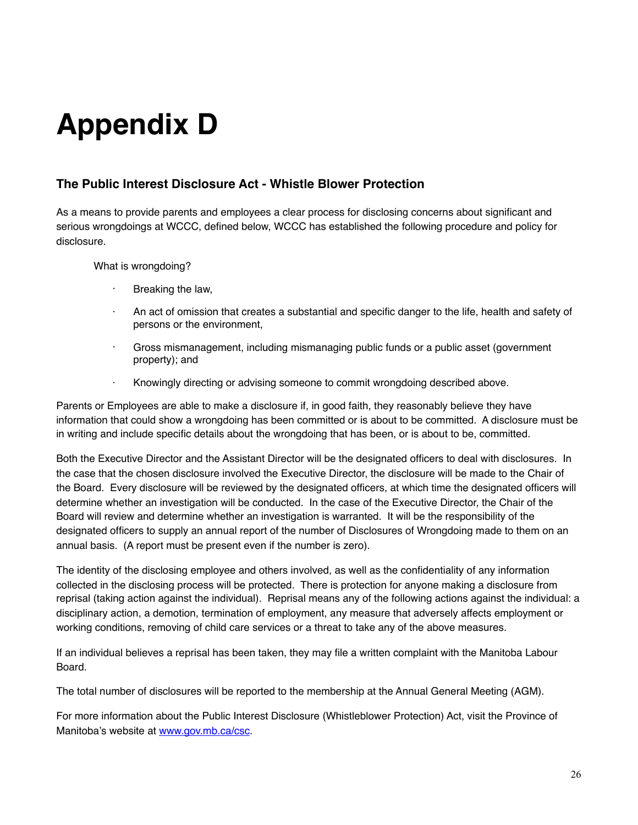# **Appendix D**

#### **The Public Interest Disclosure Act - Whistle Blower Protection**

As a means to provide parents and employees a clear process for disclosing concerns about significant and serious wrongdoings at WCCC, defined below, WCCC has established the following procedure and policy for disclosure.

What is wrongdoing?

- · Breaking the law,
- An act of omission that creates a substantial and specific danger to the life, health and safety of persons or the environment,
- · Gross mismanagement, including mismanaging public funds or a public asset (government property); and
- · Knowingly directing or advising someone to commit wrongdoing described above.

Parents or Employees are able to make a disclosure if, in good faith, they reasonably believe they have information that could show a wrongdoing has been committed or is about to be committed. A disclosure must be in writing and include specific details about the wrongdoing that has been, or is about to be, committed.

Both the Executive Director and the Assistant Director will be the designated officers to deal with disclosures. In the case that the chosen disclosure involved the Executive Director, the disclosure will be made to the Chair of the Board. Every disclosure will be reviewed by the designated officers, at which time the designated officers will determine whether an investigation will be conducted. In the case of the Executive Director, the Chair of the Board will review and determine whether an investigation is warranted. It will be the responsibility of the designated officers to supply an annual report of the number of Disclosures of Wrongdoing made to them on an annual basis. (A report must be present even if the number is zero).

The identity of the disclosing employee and others involved, as well as the confidentiality of any information collected in the disclosing process will be protected. There is protection for anyone making a disclosure from reprisal (taking action against the individual). Reprisal means any of the following actions against the individual: a disciplinary action, a demotion, termination of employment, any measure that adversely affects employment or working conditions, removing of child care services or a threat to take any of the above measures.

If an individual believes a reprisal has been taken, they may file a written complaint with the Manitoba Labour Board.

The total number of disclosures will be reported to the membership at the Annual General Meeting (AGM).

For more information about the Public Interest Disclosure (Whistleblower Protection) Act, visit the Province of Manitoba's website at [www.gov.mb.ca/csc.](http://www.gov.mb.ca/csc)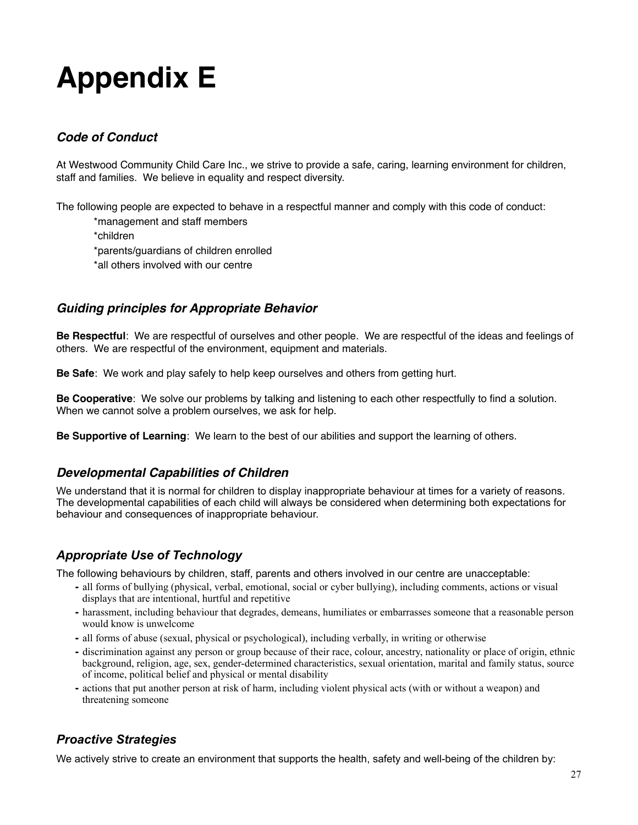## **Appendix E**

#### *Code of Conduct*

At Westwood Community Child Care Inc., we strive to provide a safe, caring, learning environment for children, staff and families. We believe in equality and respect diversity.

The following people are expected to behave in a respectful manner and comply with this code of conduct:

\*management and staff members

\*children \*parents/guardians of children enrolled \*all others involved with our centre

#### *Guiding principles for Appropriate Behavior*

**Be Respectful**: We are respectful of ourselves and other people. We are respectful of the ideas and feelings of others. We are respectful of the environment, equipment and materials.

**Be Safe**: We work and play safely to help keep ourselves and others from getting hurt.

**Be Cooperative**: We solve our problems by talking and listening to each other respectfully to find a solution. When we cannot solve a problem ourselves, we ask for help.

**Be Supportive of Learning**: We learn to the best of our abilities and support the learning of others.

#### *Developmental Capabilities of Children*

We understand that it is normal for children to display inappropriate behaviour at times for a variety of reasons. The developmental capabilities of each child will always be considered when determining both expectations for behaviour and consequences of inappropriate behaviour.

#### *Appropriate Use of Technology*

The following behaviours by children, staff, parents and others involved in our centre are unacceptable:

- all forms of bullying (physical, verbal, emotional, social or cyber bullying), including comments, actions or visual displays that are intentional, hurtful and repetitive
- harassment, including behaviour that degrades, demeans, humiliates or embarrasses someone that a reasonable person would know is unwelcome
- all forms of abuse (sexual, physical or psychological), including verbally, in writing or otherwise
- discrimination against any person or group because of their race, colour, ancestry, nationality or place of origin, ethnic background, religion, age, sex, gender-determined characteristics, sexual orientation, marital and family status, source of income, political belief and physical or mental disability
- actions that put another person at risk of harm, including violent physical acts (with or without a weapon) and threatening someone

#### *Proactive Strategies*

We actively strive to create an environment that supports the health, safety and well-being of the children by: